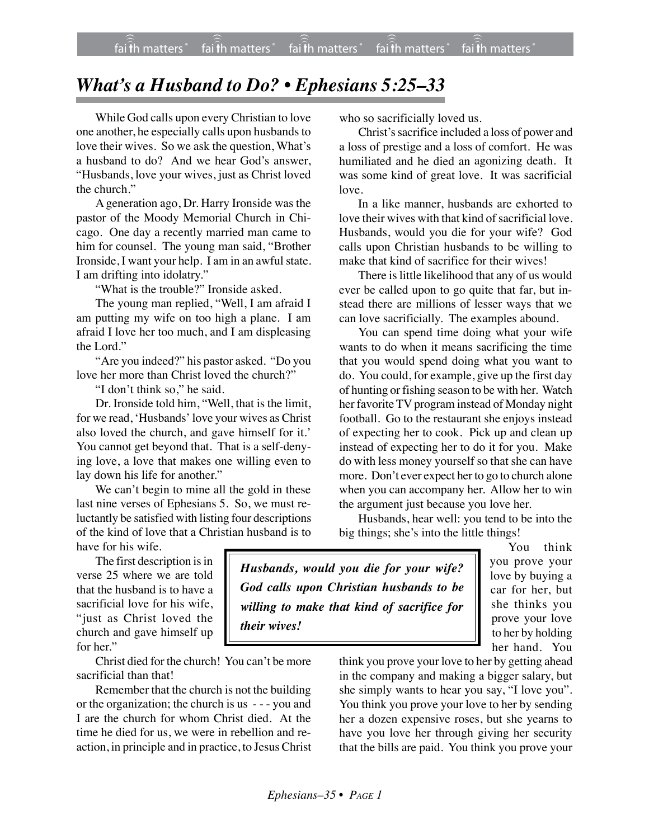## *What's a Husband to Do? • Ephesians 5:25–33*

While God calls upon every Christian to love one another, he especially calls upon husbands to love their wives. So we ask the question, What's a husband to do? And we hear God's answer, "Husbands, love your wives, just as Christ loved the church."

A generation ago, Dr. Harry Ironside was the pastor of the Moody Memorial Church in Chicago. One day a recently married man came to him for counsel. The young man said, "Brother Ironside, I want your help. I am in an awful state. I am drifting into idolatry."

"What is the trouble?" Ironside asked.

The young man replied, "Well, I am afraid I am putting my wife on too high a plane. I am afraid I love her too much, and I am displeasing the Lord."

"Are you indeed?" his pastor asked. "Do you love her more than Christ loved the church?"

"I don't think so," he said.

Dr. Ironside told him, "Well, that is the limit, for we read, 'Husbands' love your wives as Christ also loved the church, and gave himself for it.' You cannot get beyond that. That is a self-denying love, a love that makes one willing even to lay down his life for another."

We can't begin to mine all the gold in these last nine verses of Ephesians 5. So, we must reluctantly be satisfied with listing four descriptions of the kind of love that a Christian husband is to have for his wife.

The first description is in verse 25 where we are told that the husband is to have a sacrificial love for his wife, "just as Christ loved the church and gave himself up for her."

Christ died for the church! You can't be more sacrificial than that!

Remember that the church is not the building or the organization; the church is us - - - you and I are the church for whom Christ died. At the time he died for us, we were in rebellion and reaction, in principle and in practice, to Jesus Christ who so sacrificially loved us.

Christ's sacrifice included a loss of power and a loss of prestige and a loss of comfort. He was humiliated and he died an agonizing death. It was some kind of great love. It was sacrificial love.

In a like manner, husbands are exhorted to love their wives with that kind of sacrificial love. Husbands, would you die for your wife? God calls upon Christian husbands to be willing to make that kind of sacrifice for their wives!

There is little likelihood that any of us would ever be called upon to go quite that far, but instead there are millions of lesser ways that we can love sacrificially. The examples abound.

You can spend time doing what your wife wants to do when it means sacrificing the time that you would spend doing what you want to do. You could, for example, give up the first day of hunting or fishing season to be with her. Watch her favorite TV program instead of Monday night football. Go to the restaurant she enjoys instead of expecting her to cook. Pick up and clean up instead of expecting her to do it for you. Make do with less money yourself so that she can have more. Don't ever expect her to go to church alone when you can accompany her. Allow her to win the argument just because you love her.

Husbands, hear well: you tend to be into the big things; she's into the little things!

*Husbands, would you die for your wife? God calls upon Christian husbands to be willing to make that kind of sacrifice for their wives!*

You think you prove your love by buying a car for her, but she thinks you prove your love to her by holding her hand. You

think you prove your love to her by getting ahead in the company and making a bigger salary, but she simply wants to hear you say, "I love you". You think you prove your love to her by sending her a dozen expensive roses, but she yearns to have you love her through giving her security that the bills are paid. You think you prove your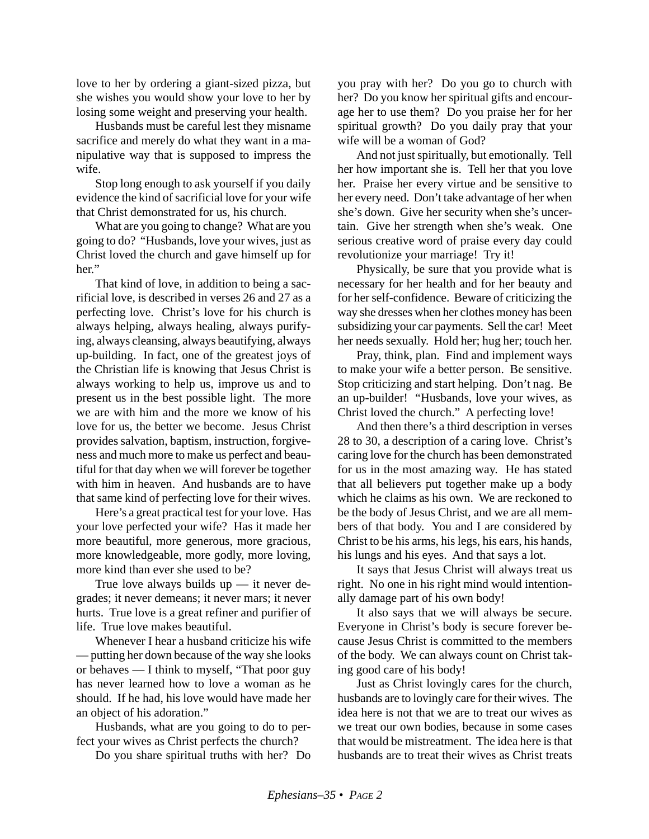love to her by ordering a giant-sized pizza, but she wishes you would show your love to her by losing some weight and preserving your health.

Husbands must be careful lest they misname sacrifice and merely do what they want in a manipulative way that is supposed to impress the wife.

Stop long enough to ask yourself if you daily evidence the kind of sacrificial love for your wife that Christ demonstrated for us, his church.

What are you going to change? What are you going to do? "Husbands, love your wives, just as Christ loved the church and gave himself up for her."

That kind of love, in addition to being a sacrificial love, is described in verses 26 and 27 as a perfecting love. Christ's love for his church is always helping, always healing, always purifying, always cleansing, always beautifying, always up-building. In fact, one of the greatest joys of the Christian life is knowing that Jesus Christ is always working to help us, improve us and to present us in the best possible light. The more we are with him and the more we know of his love for us, the better we become. Jesus Christ provides salvation, baptism, instruction, forgiveness and much more to make us perfect and beautiful for that day when we will forever be together with him in heaven. And husbands are to have that same kind of perfecting love for their wives.

Here's a great practical test for your love. Has your love perfected your wife? Has it made her more beautiful, more generous, more gracious, more knowledgeable, more godly, more loving, more kind than ever she used to be?

True love always builds up — it never degrades; it never demeans; it never mars; it never hurts. True love is a great refiner and purifier of life. True love makes beautiful.

Whenever I hear a husband criticize his wife — putting her down because of the way she looks or behaves — I think to myself, "That poor guy has never learned how to love a woman as he should. If he had, his love would have made her an object of his adoration."

Husbands, what are you going to do to perfect your wives as Christ perfects the church?

Do you share spiritual truths with her? Do

you pray with her? Do you go to church with her? Do you know her spiritual gifts and encourage her to use them? Do you praise her for her spiritual growth? Do you daily pray that your wife will be a woman of God?

And not just spiritually, but emotionally. Tell her how important she is. Tell her that you love her. Praise her every virtue and be sensitive to her every need. Don't take advantage of her when she's down. Give her security when she's uncertain. Give her strength when she's weak. One serious creative word of praise every day could revolutionize your marriage! Try it!

Physically, be sure that you provide what is necessary for her health and for her beauty and for her self-confidence. Beware of criticizing the way she dresses when her clothes money has been subsidizing your car payments. Sell the car! Meet her needs sexually. Hold her; hug her; touch her.

Pray, think, plan. Find and implement ways to make your wife a better person. Be sensitive. Stop criticizing and start helping. Don't nag. Be an up-builder! "Husbands, love your wives, as Christ loved the church." A perfecting love!

And then there's a third description in verses 28 to 30, a description of a caring love. Christ's caring love for the church has been demonstrated for us in the most amazing way. He has stated that all believers put together make up a body which he claims as his own. We are reckoned to be the body of Jesus Christ, and we are all members of that body. You and I are considered by Christ to be his arms, his legs, his ears, his hands, his lungs and his eyes. And that says a lot.

It says that Jesus Christ will always treat us right. No one in his right mind would intentionally damage part of his own body!

It also says that we will always be secure. Everyone in Christ's body is secure forever because Jesus Christ is committed to the members of the body. We can always count on Christ taking good care of his body!

Just as Christ lovingly cares for the church, husbands are to lovingly care for their wives. The idea here is not that we are to treat our wives as we treat our own bodies, because in some cases that would be mistreatment. The idea here is that husbands are to treat their wives as Christ treats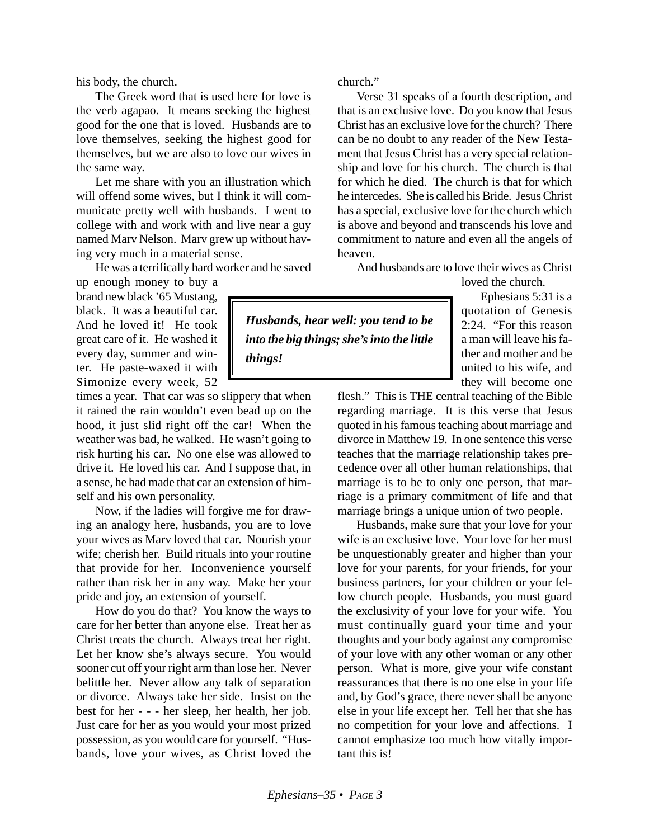his body, the church.

The Greek word that is used here for love is the verb agapao. It means seeking the highest good for the one that is loved. Husbands are to love themselves, seeking the highest good for themselves, but we are also to love our wives in the same way.

Let me share with you an illustration which will offend some wives, but I think it will communicate pretty well with husbands. I went to college with and work with and live near a guy named Marv Nelson. Marv grew up without having very much in a material sense.

He was a terrifically hard worker and he saved

up enough money to buy a brand new black '65 Mustang, black. It was a beautiful car. And he loved it! He took great care of it. He washed it every day, summer and winter. He paste-waxed it with Simonize every week, 52

times a year. That car was so slippery that when it rained the rain wouldn't even bead up on the hood, it just slid right off the car! When the weather was bad, he walked. He wasn't going to risk hurting his car. No one else was allowed to drive it. He loved his car. And I suppose that, in a sense, he had made that car an extension of himself and his own personality.

Now, if the ladies will forgive me for drawing an analogy here, husbands, you are to love your wives as Marv loved that car. Nourish your wife; cherish her. Build rituals into your routine that provide for her. Inconvenience yourself rather than risk her in any way. Make her your pride and joy, an extension of yourself.

How do you do that? You know the ways to care for her better than anyone else. Treat her as Christ treats the church. Always treat her right. Let her know she's always secure. You would sooner cut off your right arm than lose her. Never belittle her. Never allow any talk of separation or divorce. Always take her side. Insist on the best for her - - - her sleep, her health, her job. Just care for her as you would your most prized possession, as you would care for yourself. "Husbands, love your wives, as Christ loved the church."

*Husbands, hear well: you tend to be into the big things; she's into the little*

*things!*

Verse 31 speaks of a fourth description, and that is an exclusive love. Do you know that Jesus Christ has an exclusive love for the church? There can be no doubt to any reader of the New Testament that Jesus Christ has a very special relationship and love for his church. The church is that for which he died. The church is that for which he intercedes. She is called his Bride. Jesus Christ has a special, exclusive love for the church which is above and beyond and transcends his love and commitment to nature and even all the angels of heaven.

And husbands are to love their wives as Christ

loved the church.

Ephesians 5:31 is a quotation of Genesis 2:24. "For this reason a man will leave his father and mother and be united to his wife, and they will become one

flesh." This is THE central teaching of the Bible regarding marriage. It is this verse that Jesus quoted in his famous teaching about marriage and divorce in Matthew 19. In one sentence this verse teaches that the marriage relationship takes precedence over all other human relationships, that marriage is to be to only one person, that marriage is a primary commitment of life and that marriage brings a unique union of two people.

Husbands, make sure that your love for your wife is an exclusive love. Your love for her must be unquestionably greater and higher than your love for your parents, for your friends, for your business partners, for your children or your fellow church people. Husbands, you must guard the exclusivity of your love for your wife. You must continually guard your time and your thoughts and your body against any compromise of your love with any other woman or any other person. What is more, give your wife constant reassurances that there is no one else in your life and, by God's grace, there never shall be anyone else in your life except her. Tell her that she has no competition for your love and affections. I cannot emphasize too much how vitally important this is!